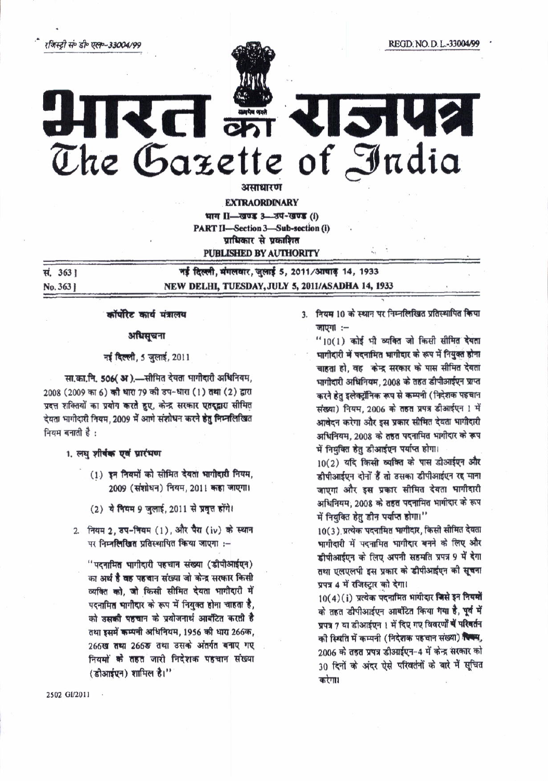रजिस्टी सं॰ डी॰ एल॰-33004/99

सं. 363।

No. 3631

# **SIV2** The Gazette of India

असाधारण

**EXTRAORDINARY** 

भाग II-खण्ड 3-3प-खण्ड (i) PART II-Section 3-Sub-section (i) प्राधिकार से प्रकाशित **PUBLISHED BY AUTHORITY** 

नई दिल्ली, मंगलवार, जुलाई 5, 2011/आवाड़ 14, 1933 NEW DELHI, TUESDAY, JULY 5, 2011/ASADHA 14, 1933

## कॉर्पोरेट कार्य मंत्रालय

अधिसचना

### नई दिल्ली, 5 जुलाई, 2011

सा.का.नि. 506( अ).-सीमित देयता भागीदारी अधिनियम, 2008 (2009 का 6) की धारा 79 की उप-धारा (1) तथा (2) द्वारा प्रदत्त शक्तियों का प्रयोग करते हुए, केन्द्र सरकार एतदुद्वारा सीमित देयता भागीदारी नियम, 2009 में आगे संशोधन करने हेतु निम्नलिखित नियम बनाती है:

### 1. लघु शीर्वक एवं प्रारंभण

- (1) इन नियमों को सीमित देयता भागीदारी नियम, 2009 (संशोधन) नियम, 2011 कहा जाएगा।
- (2) ये नियम 9 जुलाई, 2011 से प्रवृत्त होंगे।
- 2. नियम 2, डप-नियम (1), और पैरा (iv) के स्थान पर निम्नलिखित प्रतिस्थापित किया जाएगा :-

"पदनामित भागीदारी पहचान संख्या (डीपीआईएन) का अर्थ है वह पहचान संख्या जो केन्द्र सरकार किसी व्यक्ति को, जो किसी सीमित देयता भागीदारी में पदनामित भागीदार के रूप में नियुक्त होना चाहता है, को उसकी पहचान के प्रयोजनार्थ आबंटित करती है तथा इसमें कम्पनी अधिनियम, 1956 की धारा 266क, 266ख तथा 266ङ तथा उसके अंतर्गत बनाए गए नियमों के तहत जारी निदेशक पहचान संख्या (डीआईएन) शामिल है।"

3. नियम 10 के स्थान पर निम्नलिखित प्रतिस्थापित किया जाएगा :-

"10(1) कोई भी व्यक्ति जो किसी सीमित देवता भागीदारी में पदनामित भागीदार के रूप में नियुक्त होना चाहता हो. वह केन्द्र सरकार के पास सीमित देवता भागीदारी अधिनियम, 2008 के तहत डीपीआईएन प्राप्त करने हेत इलेक्ट्रॉनिक रूप से कम्पनी (निदेशक पहचान संख्या) नियम, 2006 के तहत प्रपत्र डीआईएन ! में आवेदन करेगा और इस प्रकार सीमित देयता भागीदारी अधिनियम, 2008 के तहत पदनामित भागीदार के रूप में नियंक्ति हेतु डीआईएन पर्याप्त होगा।

10(2) यदि किसी व्यक्ति के पास डीआईएन और डीपीआईएन दोनों हैं तो उसका डीपीआईएन रह माना जाएगा और इस प्रकार सीमित देयता भागीदारी अधिनियम, 2008 के तहत पदनामित भागीदार के रूप में नियुक्ति हेतु डीन पर्याप्त होगा।"

10(3) प्रत्येक पदनामित भागीदार, किसी सीमित देयता भागीदारी में पदनामित भागीदार बनने के लिए और डीपीआईएन के लिए अपनी सहमति प्रपत्र 9 में देगा तथा एलएलपी इस प्रकार के डीपीआईएन की सचना प्रपत्र 4 में रजिस्ट्रार को देगा।

10(4)(i) प्रत्येक पदनामित भागीदार जिसे इन नियमों के तहत डीपीआईएन आबंटित किया गया है, पूर्व में प्रपत्र 7 या डीआईएन। में दिए गए विवरणों में परिवर्तन की स्थिति में कम्पनी (निदेशक पहचान संख्या) स्थित्यु 2006 के तहत प्रपत्र डीआईएन-4 में केन्द्र सरकार को 30 दिनों के अंदर ऐसे परिवर्तनों के बारे में सूचित करेगा।

2502 GV2011